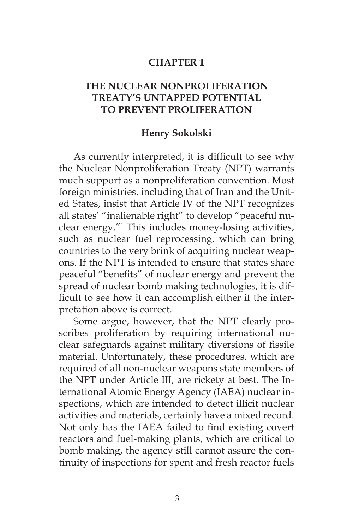## **CHAPTER 1**

## **THE NUCLEAR NONPROLIFERATION TREATY'S UNTAPPED POTENTIAL TO PREVENT PROLIFERATION**

## **Henry Sokolski**

As currently interpreted, it is difficult to see why the Nuclear Nonproliferation Treaty (NPT) warrants much support as a nonproliferation convention. Most foreign ministries, including that of Iran and the United States, insist that Article IV of the NPT recognizes all states' "inalienable right" to develop "peaceful nuclear energy."1 This includes money-losing activities, such as nuclear fuel reprocessing, which can bring countries to the very brink of acquiring nuclear weapons. If the NPT is intended to ensure that states share peaceful "benefits" of nuclear energy and prevent the spread of nuclear bomb making technologies, it is difficult to see how it can accomplish either if the interpretation above is correct.

Some argue, however, that the NPT clearly proscribes proliferation by requiring international nuclear safeguards against military diversions of fissile material. Unfortunately, these procedures, which are required of all non-nuclear weapons state members of the NPT under Article III, are rickety at best. The International Atomic Energy Agency (IAEA) nuclear inspections, which are intended to detect illicit nuclear activities and materials, certainly have a mixed record. Not only has the IAEA failed to find existing covert reactors and fuel-making plants, which are critical to bomb making, the agency still cannot assure the continuity of inspections for spent and fresh reactor fuels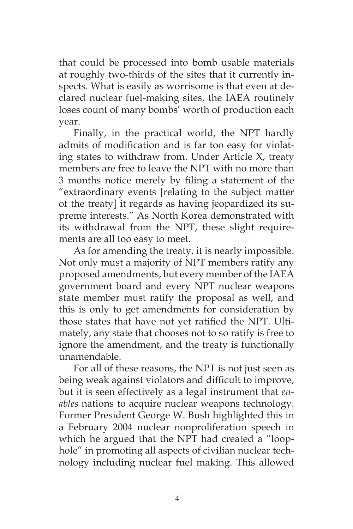that could be processed into bomb usable materials at roughly two-thirds of the sites that it currently inspects. What is easily as worrisome is that even at declared nuclear fuel-making sites, the IAEA routinely loses count of many bombs' worth of production each year.

Finally, in the practical world, the NPT hardly admits of modification and is far too easy for violating states to withdraw from. Under Article X, treaty members are free to leave the NPT with no more than 3 months notice merely by filing a statement of the "extraordinary events [relating to the subject matter of the treaty] it regards as having jeopardized its supreme interests." As North Korea demonstrated with its withdrawal from the NPT, these slight requirements are all too easy to meet.

As for amending the treaty, it is nearly impossible. Not only must a majority of NPT members ratify any proposed amendments, but every member of the IAEA government board and every NPT nuclear weapons state member must ratify the proposal as well, and this is only to get amendments for consideration by those states that have not yet ratified the NPT. Ultimately, any state that chooses not to so ratify is free to ignore the amendment, and the treaty is functionally unamendable.

For all of these reasons, the NPT is not just seen as being weak against violators and difficult to improve, but it is seen effectively as a legal instrument that *enables* nations to acquire nuclear weapons technology. Former President George W. Bush highlighted this in a February 2004 nuclear nonproliferation speech in which he argued that the NPT had created a "loophole" in promoting all aspects of civilian nuclear technology including nuclear fuel making. This allowed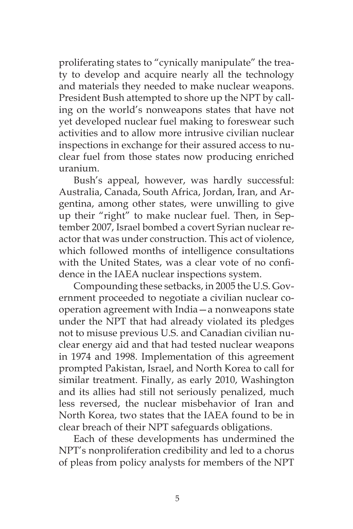proliferating states to "cynically manipulate" the treaty to develop and acquire nearly all the technology and materials they needed to make nuclear weapons. President Bush attempted to shore up the NPT by calling on the world's nonweapons states that have not yet developed nuclear fuel making to foreswear such activities and to allow more intrusive civilian nuclear inspections in exchange for their assured access to nuclear fuel from those states now producing enriched uranium.

Bush's appeal, however, was hardly successful: Australia, Canada, South Africa, Jordan, Iran, and Argentina, among other states, were unwilling to give up their "right" to make nuclear fuel. Then, in September 2007, Israel bombed a covert Syrian nuclear reactor that was under construction. This act of violence, which followed months of intelligence consultations with the United States, was a clear vote of no confidence in the IAEA nuclear inspections system.

Compounding these setbacks, in 2005 the U.S. Government proceeded to negotiate a civilian nuclear cooperation agreement with India—a nonweapons state under the NPT that had already violated its pledges not to misuse previous U.S. and Canadian civilian nuclear energy aid and that had tested nuclear weapons in 1974 and 1998. Implementation of this agreement prompted Pakistan, Israel, and North Korea to call for similar treatment. Finally, as early 2010, Washington and its allies had still not seriously penalized, much less reversed, the nuclear misbehavior of Iran and North Korea, two states that the IAEA found to be in clear breach of their NPT safeguards obligations.

Each of these developments has undermined the NPT's nonproliferation credibility and led to a chorus of pleas from policy analysts for members of the NPT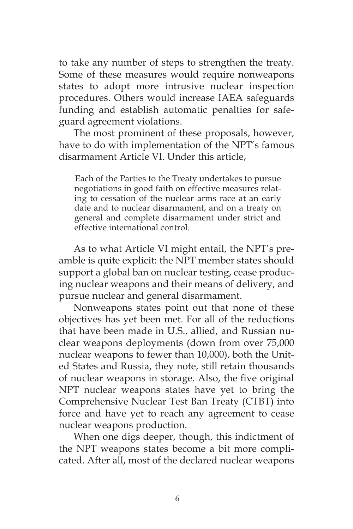to take any number of steps to strengthen the treaty. Some of these measures would require nonweapons states to adopt more intrusive nuclear inspection procedures. Others would increase IAEA safeguards funding and establish automatic penalties for safeguard agreement violations.

The most prominent of these proposals, however, have to do with implementation of the NPT's famous disarmament Article VI. Under this article,

Each of the Parties to the Treaty undertakes to pursue negotiations in good faith on effective measures relating to cessation of the nuclear arms race at an early date and to nuclear disarmament, and on a treaty on general and complete disarmament under strict and effective international control.

As to what Article VI might entail, the NPT's preamble is quite explicit: the NPT member states should support a global ban on nuclear testing, cease producing nuclear weapons and their means of delivery, and pursue nuclear and general disarmament.

Nonweapons states point out that none of these objectives has yet been met. For all of the reductions that have been made in U.S., allied, and Russian nuclear weapons deployments (down from over 75,000 nuclear weapons to fewer than 10,000), both the United States and Russia, they note, still retain thousands of nuclear weapons in storage. Also, the five original NPT nuclear weapons states have yet to bring the Comprehensive Nuclear Test Ban Treaty (CTBT) into force and have yet to reach any agreement to cease nuclear weapons production.

When one digs deeper, though, this indictment of the NPT weapons states become a bit more complicated. After all, most of the declared nuclear weapons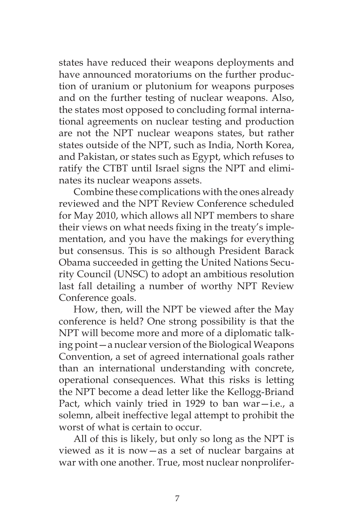states have reduced their weapons deployments and have announced moratoriums on the further production of uranium or plutonium for weapons purposes and on the further testing of nuclear weapons. Also, the states most opposed to concluding formal international agreements on nuclear testing and production are not the NPT nuclear weapons states, but rather states outside of the NPT, such as India, North Korea, and Pakistan, or states such as Egypt, which refuses to ratify the CTBT until Israel signs the NPT and eliminates its nuclear weapons assets.

Combine these complications with the ones already reviewed and the NPT Review Conference scheduled for May 2010, which allows all NPT members to share their views on what needs fixing in the treaty's implementation, and you have the makings for everything but consensus. This is so although President Barack Obama succeeded in getting the United Nations Security Council (UNSC) to adopt an ambitious resolution last fall detailing a number of worthy NPT Review Conference goals.

How, then, will the NPT be viewed after the May conference is held? One strong possibility is that the NPT will become more and more of a diplomatic talking point—a nuclear version of the Biological Weapons Convention, a set of agreed international goals rather than an international understanding with concrete, operational consequences. What this risks is letting the NPT become a dead letter like the Kellogg-Briand Pact, which vainly tried in 1929 to ban war $-i.e.,$  a solemn, albeit ineffective legal attempt to prohibit the worst of what is certain to occur.

All of this is likely, but only so long as the NPT is viewed as it is now—as a set of nuclear bargains at war with one another. True, most nuclear nonprolifer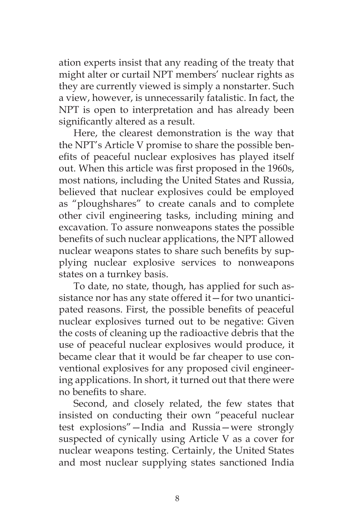ation experts insist that any reading of the treaty that might alter or curtail NPT members' nuclear rights as they are currently viewed is simply a nonstarter. Such a view, however, is unnecessarily fatalistic. In fact, the NPT is open to interpretation and has already been significantly altered as a result.

Here, the clearest demonstration is the way that the NPT's Article V promise to share the possible benefits of peaceful nuclear explosives has played itself out. When this article was first proposed in the 1960s, most nations, including the United States and Russia, believed that nuclear explosives could be employed as "ploughshares" to create canals and to complete other civil engineering tasks, including mining and excavation. To assure nonweapons states the possible benefits of such nuclear applications, the NPT allowed nuclear weapons states to share such benefits by supplying nuclear explosive services to nonweapons states on a turnkey basis.

To date, no state, though, has applied for such assistance nor has any state offered it—for two unanticipated reasons. First, the possible benefits of peaceful nuclear explosives turned out to be negative: Given the costs of cleaning up the radioactive debris that the use of peaceful nuclear explosives would produce, it became clear that it would be far cheaper to use conventional explosives for any proposed civil engineering applications. In short, it turned out that there were no benefits to share.

Second, and closely related, the few states that insisted on conducting their own "peaceful nuclear test explosions"—India and Russia—were strongly suspected of cynically using Article V as a cover for nuclear weapons testing. Certainly, the United States and most nuclear supplying states sanctioned India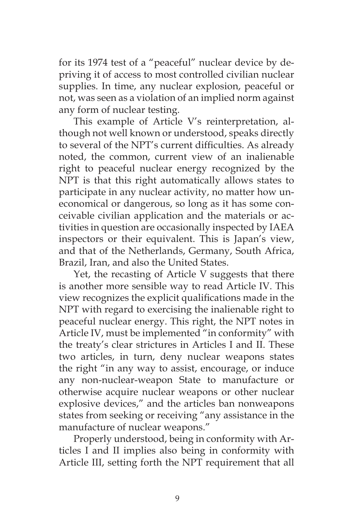for its 1974 test of a "peaceful" nuclear device by depriving it of access to most controlled civilian nuclear supplies. In time, any nuclear explosion, peaceful or not, was seen as a violation of an implied norm against any form of nuclear testing.

This example of Article V's reinterpretation, although not well known or understood, speaks directly to several of the NPT's current difficulties. As already noted, the common, current view of an inalienable right to peaceful nuclear energy recognized by the NPT is that this right automatically allows states to participate in any nuclear activity, no matter how uneconomical or dangerous, so long as it has some conceivable civilian application and the materials or activities in question are occasionally inspected by IAEA inspectors or their equivalent. This is Japan's view, and that of the Netherlands, Germany, South Africa, Brazil, Iran, and also the United States.

Yet, the recasting of Article V suggests that there is another more sensible way to read Article IV. This view recognizes the explicit qualifications made in the NPT with regard to exercising the inalienable right to peaceful nuclear energy. This right, the NPT notes in Article IV, must be implemented "in conformity" with the treaty's clear strictures in Articles I and II. These two articles, in turn, deny nuclear weapons states the right "in any way to assist, encourage, or induce any non-nuclear-weapon State to manufacture or otherwise acquire nuclear weapons or other nuclear explosive devices," and the articles ban nonweapons states from seeking or receiving "any assistance in the manufacture of nuclear weapons."

Properly understood, being in conformity with Articles I and II implies also being in conformity with Article III, setting forth the NPT requirement that all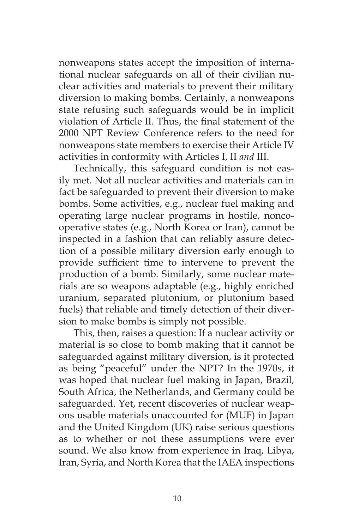nonweapons states accept the imposition of international nuclear safeguards on all of their civilian nuclear activities and materials to prevent their military diversion to making bombs. Certainly, a nonweapons state refusing such safeguards would be in implicit violation of Article II. Thus, the final statement of the 2000 NPT Review Conference refers to the need for nonweapons state members to exercise their Article IV activities in conformity with Articles I, II *and* III.

Technically, this safeguard condition is not easily met. Not all nuclear activities and materials can in fact be safeguarded to prevent their diversion to make bombs. Some activities, e.g., nuclear fuel making and operating large nuclear programs in hostile, noncooperative states (e.g., North Korea or Iran), cannot be inspected in a fashion that can reliably assure detection of a possible military diversion early enough to provide sufficient time to intervene to prevent the production of a bomb. Similarly, some nuclear materials are so weapons adaptable (e.g., highly enriched uranium, separated plutonium, or plutonium based fuels) that reliable and timely detection of their diversion to make bombs is simply not possible.

This, then, raises a question: If a nuclear activity or material is so close to bomb making that it cannot be safeguarded against military diversion, is it protected as being "peaceful" under the NPT? In the 1970s, it was hoped that nuclear fuel making in Japan, Brazil, South Africa, the Netherlands, and Germany could be safeguarded. Yet, recent discoveries of nuclear weapons usable materials unaccounted for (MUF) in Japan and the United Kingdom (UK) raise serious questions as to whether or not these assumptions were ever sound. We also know from experience in Iraq, Libya, Iran, Syria, and North Korea that the IAEA inspections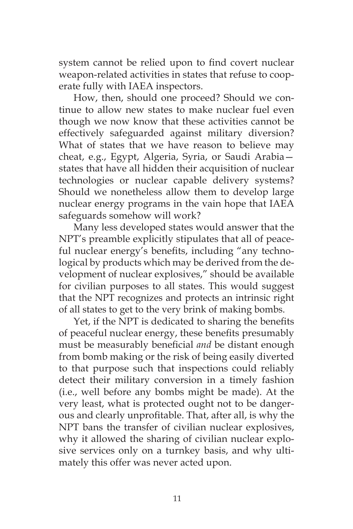system cannot be relied upon to find covert nuclear weapon-related activities in states that refuse to cooperate fully with IAEA inspectors.

How, then, should one proceed? Should we continue to allow new states to make nuclear fuel even though we now know that these activities cannot be effectively safeguarded against military diversion? What of states that we have reason to believe may cheat, e.g., Egypt, Algeria, Syria, or Saudi Arabia states that have all hidden their acquisition of nuclear technologies or nuclear capable delivery systems? Should we nonetheless allow them to develop large nuclear energy programs in the vain hope that IAEA safeguards somehow will work?

Many less developed states would answer that the NPT's preamble explicitly stipulates that all of peaceful nuclear energy's benefits, including "any technological by products which may be derived from the development of nuclear explosives," should be available for civilian purposes to all states. This would suggest that the NPT recognizes and protects an intrinsic right of all states to get to the very brink of making bombs.

Yet, if the NPT is dedicated to sharing the benefits of peaceful nuclear energy, these benefits presumably must be measurably beneficial *and* be distant enough from bomb making or the risk of being easily diverted to that purpose such that inspections could reliably detect their military conversion in a timely fashion (i.e., well before any bombs might be made). At the very least, what is protected ought not to be dangerous and clearly unprofitable. That, after all, is why the NPT bans the transfer of civilian nuclear explosives, why it allowed the sharing of civilian nuclear explosive services only on a turnkey basis, and why ultimately this offer was never acted upon.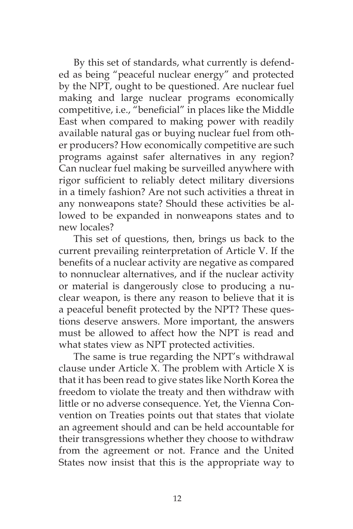By this set of standards, what currently is defended as being "peaceful nuclear energy" and protected by the NPT, ought to be questioned. Are nuclear fuel making and large nuclear programs economically competitive, i.e., "beneficial" in places like the Middle East when compared to making power with readily available natural gas or buying nuclear fuel from other producers? How economically competitive are such programs against safer alternatives in any region? Can nuclear fuel making be surveilled anywhere with rigor sufficient to reliably detect military diversions in a timely fashion? Are not such activities a threat in any nonweapons state? Should these activities be allowed to be expanded in nonweapons states and to new locales?

This set of questions, then, brings us back to the current prevailing reinterpretation of Article V. If the benefits of a nuclear activity are negative as compared to nonnuclear alternatives, and if the nuclear activity or material is dangerously close to producing a nuclear weapon, is there any reason to believe that it is a peaceful benefit protected by the NPT? These questions deserve answers. More important, the answers must be allowed to affect how the NPT is read and what states view as NPT protected activities.

The same is true regarding the NPT's withdrawal clause under Article X. The problem with Article X is that it has been read to give states like North Korea the freedom to violate the treaty and then withdraw with little or no adverse consequence. Yet, the Vienna Convention on Treaties points out that states that violate an agreement should and can be held accountable for their transgressions whether they choose to withdraw from the agreement or not. France and the United States now insist that this is the appropriate way to